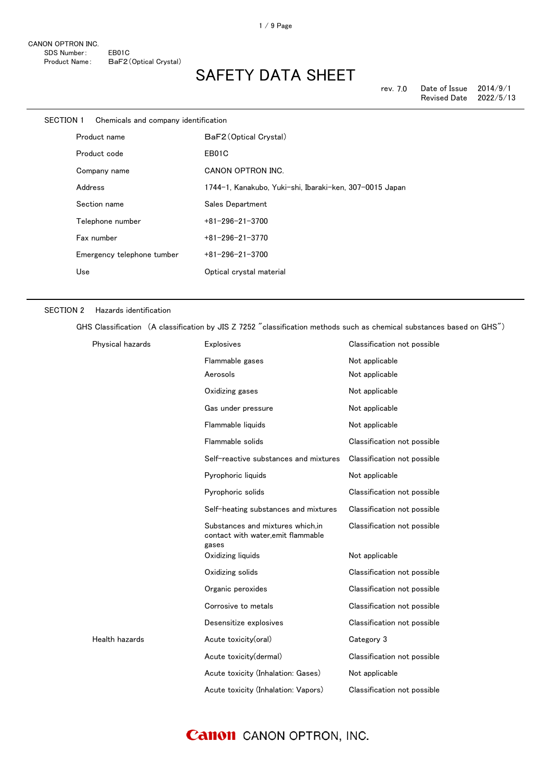rev. 7.0 Date of Issue 2014/9/1<br>Revised Date 2022/5/13 Revised Date

| <b>SECTION 1</b> | Chemicals and company identification |                                                         |
|------------------|--------------------------------------|---------------------------------------------------------|
|                  | Product name                         | BaF2 (Optical Crystal)                                  |
|                  | Product code                         | EB01C                                                   |
|                  | Company name                         | <b>CANON OPTRON INC.</b>                                |
|                  | Address                              | 1744-1, Kanakubo, Yuki-shi, Ibaraki-ken, 307-0015 Japan |
|                  | Section name                         | Sales Department                                        |
|                  | Telephone number                     | $+81 - 296 - 21 - 3700$                                 |
|                  | Fax number                           | $+81 - 296 - 21 - 3770$                                 |
|                  | Emergency telephone tumber           | $+81 - 296 - 21 - 3700$                                 |
|                  | Use                                  | Optical crystal material                                |

#### SECTION 2 Hazards identification

GHS Classification (A classification by JIS Z 7252 "classification methods such as chemical substances based on GHS")

| Physical hazards | <b>Explosives</b>                                                               | Classification not possible |
|------------------|---------------------------------------------------------------------------------|-----------------------------|
|                  | Flammable gases                                                                 | Not applicable              |
|                  | Aerosols                                                                        | Not applicable              |
|                  | Oxidizing gases                                                                 | Not applicable              |
|                  | Gas under pressure                                                              | Not applicable              |
|                  | Flammable liquids                                                               | Not applicable              |
|                  | Flammable solids                                                                | Classification not possible |
|                  | Self-reactive substances and mixtures                                           | Classification not possible |
|                  | Pyrophoric liquids                                                              | Not applicable              |
|                  | Pyrophoric solids                                                               | Classification not possible |
|                  | Self-heating substances and mixtures                                            | Classification not possible |
|                  | Substances and mixtures which.in<br>contact with water, emit flammable<br>gases | Classification not possible |
|                  | Oxidizing liquids                                                               | Not applicable              |
|                  | Oxidizing solids                                                                | Classification not possible |
|                  | Organic peroxides                                                               | Classification not possible |
|                  | Corrosive to metals                                                             | Classification not possible |
|                  | Desensitize explosives                                                          | Classification not possible |
| Health hazards   | Acute toxicity(oral)                                                            | Category 3                  |
|                  | Acute toxicity(dermal)                                                          | Classification not possible |
|                  | Acute toxicity (Inhalation: Gases)                                              | Not applicable              |
|                  | Acute toxicity (Inhalation: Vapors)                                             | Classification not possible |

### **Canon** CANON OPTRON, INC.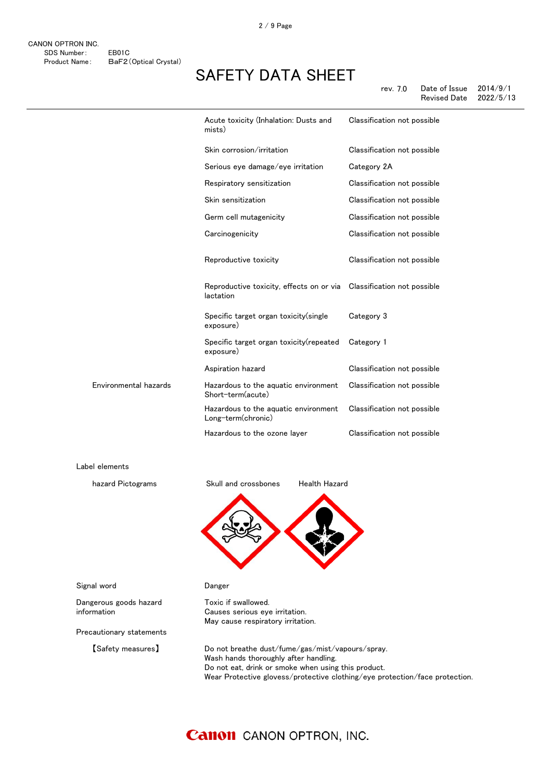|                       | Acute toxicity (Inhalation: Dusts and<br>mists)            | Classification not possible |
|-----------------------|------------------------------------------------------------|-----------------------------|
|                       | Skin corrosion/irritation                                  | Classification not possible |
|                       | Serious eye damage/eye irritation                          | Category 2A                 |
|                       | Respiratory sensitization                                  | Classification not possible |
|                       | Skin sensitization                                         | Classification not possible |
|                       | Germ cell mutagenicity                                     | Classification not possible |
|                       | Carcinogenicity                                            | Classification not possible |
|                       | Reproductive toxicity                                      | Classification not possible |
|                       | Reproductive toxicity, effects on or via<br>lactation      | Classification not possible |
|                       | Specific target organ toxicity(single<br>exposure)         | Category 3                  |
|                       | Specific target organ toxicity(repeated<br>exposure)       | Category 1                  |
|                       | Aspiration hazard                                          | Classification not possible |
| Environmental hazards | Hazardous to the aquatic environment<br>Short-term(acute)  | Classification not possible |
|                       | Hazardous to the aquatic environment<br>Long-term(chronic) | Classification not possible |
|                       | Hazardous to the ozone layer                               | Classification not possible |

Label elements



Toxic if swallowed.

Causes serious eye irritation. May cause respiratory irritation.



Signal word **Danger** 

Dangerous goods hazard information

Precautionary statements

【Safety measures】 Do not breathe dust/fume/gas/mist/vapours/spray. Wash hands thoroughly after handling. Do not eat, drink or smoke when using this product. Wear Protective glovess/protective clothing/eye protection/face protection.

### **Canon** CANON OPTRON, INC.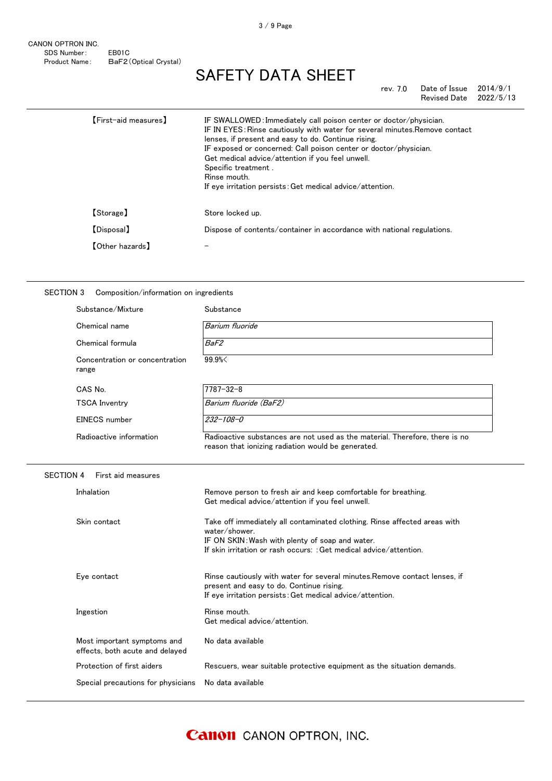CANON OPTRON INC. SDS Number: EB01C Product Name: BaF2(Optical Crystal)

# SAFETY DATA SHEET

rev. 7.0 Date of Issue 2014/9/1<br>Revised Date 2022/5/13 Revised Date

| [First-aid measures]   | IF SWALLOWED: Immediately call poison center or doctor/physician.<br>IF IN EYES: Rinse cautiously with water for several minutes. Remove contact<br>lenses, if present and easy to do. Continue rising.<br>IF exposed or concerned: Call poison center or doctor/physician.<br>Get medical advice/attention if you feel unwell.<br>Specific treatment.<br>Rinse mouth.<br>If eye irritation persists: Get medical advice/attention. |
|------------------------|-------------------------------------------------------------------------------------------------------------------------------------------------------------------------------------------------------------------------------------------------------------------------------------------------------------------------------------------------------------------------------------------------------------------------------------|
| [Storage]              | Store locked up.                                                                                                                                                                                                                                                                                                                                                                                                                    |
| <b>[Disposal]</b>      | Dispose of contents/container in accordance with national regulations.                                                                                                                                                                                                                                                                                                                                                              |
| <b>【Other hazards】</b> |                                                                                                                                                                                                                                                                                                                                                                                                                                     |
|                        |                                                                                                                                                                                                                                                                                                                                                                                                                                     |

### SECTION 3 Composition/information on ingredients

| Substance/Mixture                                              | Substance                                                                                                                                                                                                           |
|----------------------------------------------------------------|---------------------------------------------------------------------------------------------------------------------------------------------------------------------------------------------------------------------|
| Chemical name                                                  | Barium fluoride                                                                                                                                                                                                     |
| Chemical formula                                               | <b>BaF2</b>                                                                                                                                                                                                         |
| Concentration or concentration<br>range                        | 99.9%                                                                                                                                                                                                               |
| CAS No.                                                        | $7787 - 32 - 8$                                                                                                                                                                                                     |
| <b>TSCA Inventry</b>                                           | Barium fluoride (BaF2)                                                                                                                                                                                              |
| EINECS number                                                  | $232 - 108 - 0$                                                                                                                                                                                                     |
| Radioactive information                                        | Radioactive substances are not used as the material. Therefore, there is no<br>reason that ionizing radiation would be generated.                                                                                   |
| <b>SECTION 4</b><br>First aid measures                         |                                                                                                                                                                                                                     |
| Inhalation                                                     | Remove person to fresh air and keep comfortable for breathing.<br>Get medical advice/attention if you feel unwell.                                                                                                  |
| Skin contact                                                   | Take off immediately all contaminated clothing. Rinse affected areas with<br>water/shower.<br>IF ON SKIN: Wash with plenty of soap and water.<br>If skin irritation or rash occurs: : Get medical advice/attention. |
| Eye contact                                                    | Rinse cautiously with water for several minutes. Remove contact lenses, if<br>present and easy to do. Continue rising.<br>If eye irritation persists: Get medical advice/attention.                                 |
| Ingestion                                                      | Rinse mouth.<br>Get medical advice/attention.                                                                                                                                                                       |
| Most important symptoms and<br>effects, both acute and delayed | No data available                                                                                                                                                                                                   |
| Protection of first aiders                                     | Rescuers, wear suitable protective equipment as the situation demands.                                                                                                                                              |
| Special precautions for physicians                             | No data available                                                                                                                                                                                                   |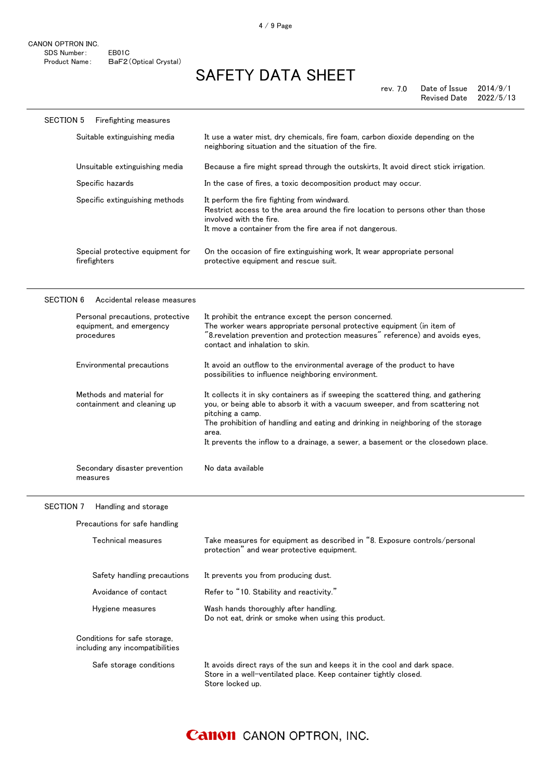| <b>SECTION 5</b><br>Firefighting measures                                  |                                                                                                                                                                                                                                                                                                                                                                             |
|----------------------------------------------------------------------------|-----------------------------------------------------------------------------------------------------------------------------------------------------------------------------------------------------------------------------------------------------------------------------------------------------------------------------------------------------------------------------|
| Suitable extinguishing media                                               | It use a water mist, dry chemicals, fire foam, carbon dioxide depending on the<br>neighboring situation and the situation of the fire.                                                                                                                                                                                                                                      |
| Unsuitable extinguishing media                                             | Because a fire might spread through the outskirts, It avoid direct stick irrigation.                                                                                                                                                                                                                                                                                        |
| Specific hazards                                                           | In the case of fires, a toxic decomposition product may occur.                                                                                                                                                                                                                                                                                                              |
| Specific extinguishing methods                                             | It perform the fire fighting from windward.<br>Restrict access to the area around the fire location to persons other than those<br>involved with the fire.<br>It move a container from the fire area if not dangerous.                                                                                                                                                      |
| Special protective equipment for<br>firefighters                           | On the occasion of fire extinguishing work, It wear appropriate personal<br>protective equipment and rescue suit.                                                                                                                                                                                                                                                           |
| <b>SECTION 6</b><br>Accidental release measures                            |                                                                                                                                                                                                                                                                                                                                                                             |
| Personal precautions, protective<br>equipment, and emergency<br>procedures | It prohibit the entrance except the person concerned.<br>The worker wears appropriate personal protective equipment (in item of<br>"8.revelation prevention and protection measures" reference) and avoids eyes,<br>contact and inhalation to skin.                                                                                                                         |
| Environmental precautions                                                  | It avoid an outflow to the environmental average of the product to have<br>possibilities to influence neighboring environment.                                                                                                                                                                                                                                              |
| Methods and material for<br>containment and cleaning up                    | It collects it in sky containers as if sweeping the scattered thing, and gathering<br>you, or being able to absorb it with a vacuum sweeper, and from scattering not<br>pitching a camp.<br>The prohibition of handling and eating and drinking in neighboring of the storage<br>area.<br>It prevents the inflow to a drainage, a sewer, a basement or the closedown place. |
| Secondary disaster prevention<br>measures                                  | No data available                                                                                                                                                                                                                                                                                                                                                           |
| <b>SECTION 7</b><br>Handling and storage                                   |                                                                                                                                                                                                                                                                                                                                                                             |
| Precautions for safe handling                                              |                                                                                                                                                                                                                                                                                                                                                                             |
| Technical measures                                                         | Take measures for equipment as described in "8. Exposure controls/personal<br>protection" and wear protective equipment.                                                                                                                                                                                                                                                    |
| Safety handling precautions                                                | It prevents you from producing dust.                                                                                                                                                                                                                                                                                                                                        |

Safe storage conditions It avoids direct rays of the sun and keeps it in the cool and dark space.

Do not eat, drink or smoke when using this product.

Store in a well-ventilated place. Keep container tightly closed.

Avoidance of contact Refer to "10. Stability and reactivity." Hygiene measures Wash hands thoroughly after handling.

Store locked up.

Conditions for safe storage, including any incompatibilities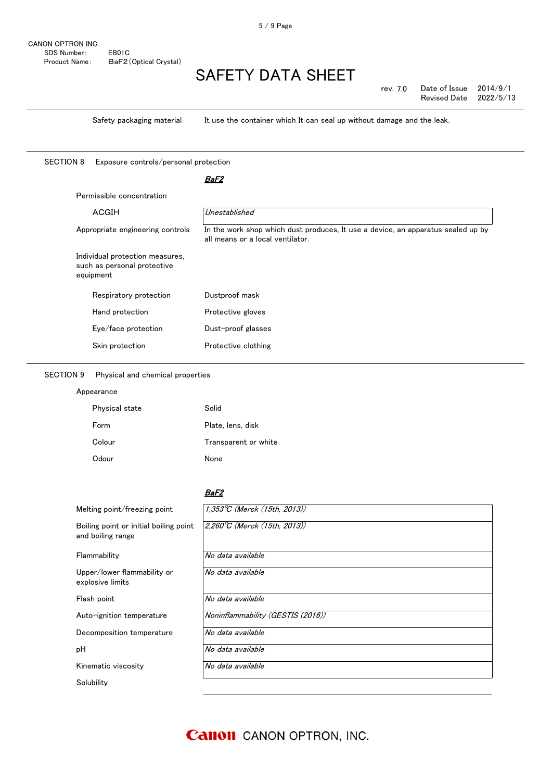rev. 7.0 Date of Issue 2014/9/1<br>Revised Date 2022/5/13 Revised Date

Safety packaging material It use the container which It can seal up without damage and the leak.

SECTION 8 Exposure controls/personal protection

#### <u>BaF2</u>

| <b>ACGIH</b>                                                   | Unestablished                                                                                                        |
|----------------------------------------------------------------|----------------------------------------------------------------------------------------------------------------------|
| Appropriate engineering controls                               | In the work shop which dust produces, It use a device, an apparatus sealed up by<br>all means or a local ventilator. |
| Individual protection measures,<br>such as personal protective |                                                                                                                      |
| equipment                                                      |                                                                                                                      |
| Respiratory protection                                         | Dustproof mask                                                                                                       |
| Hand protection                                                | Protective gloves                                                                                                    |
| Eye/face protection                                            | Dust-proof glasses                                                                                                   |

### SECTION 9 Physical and chemical properties

Appearance

| Physical state | Solid                |
|----------------|----------------------|
| Form           | Plate, lens, disk    |
| Colour         | Transparent or white |
| Odour          | None                 |

#### BaF2

| Melting point/freezing point                                | 1,353°C (Merck (15th, 2013))      |
|-------------------------------------------------------------|-----------------------------------|
| Boiling point or initial boiling point<br>and boiling range | 2,260°C (Merck (15th, 2013))      |
| Flammability                                                | No data available                 |
| Upper/lower flammability or<br>explosive limits             | No data available                 |
| Flash point                                                 | No data available                 |
| Auto-ignition temperature                                   | Noninflammability (GESTIS (2016)) |
| Decomposition temperature                                   | No data available                 |
| pН                                                          | No data available                 |
| Kinematic viscosity                                         | No data available                 |
| Solubility                                                  |                                   |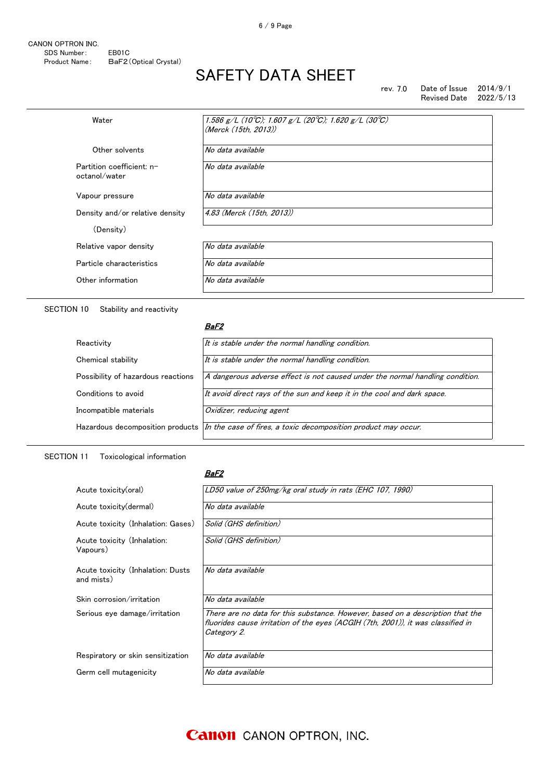| rev. 7.0 | Date of Issue          | 2014/9/1 |
|----------|------------------------|----------|
|          | Revised Date 2022/5/13 |          |

| No data available<br>No data available |
|----------------------------------------|
|                                        |
|                                        |
| No data available                      |
| 4.83 (Merck (15th, 2013))              |
|                                        |
| No data available                      |
| No data available                      |
| No data available                      |
|                                        |

SECTION 10 Stability and reactivity

#### <u>BaF2</u>

| It is stable under the normal handling condition.                                               |
|-------------------------------------------------------------------------------------------------|
| It is stable under the normal handling condition.                                               |
| A dangerous adverse effect is not caused under the normal handling condition.                   |
| It avoid direct rays of the sun and keep it in the cool and dark space.                         |
| Oxidizer, reducing agent                                                                        |
| Hazardous decomposition products In the case of fires, a toxic decomposition product may occur. |
|                                                                                                 |

### SECTION 11 Toxicological information

#### BaF2

| Acute toxicity(oral)                            | LD50 value of 250mg/kg oral study in rats (EHC 107, 1990)                                                                                                                         |
|-------------------------------------------------|-----------------------------------------------------------------------------------------------------------------------------------------------------------------------------------|
| Acute toxicity (dermal)                         | No data available                                                                                                                                                                 |
| Acute toxicity (Inhalation: Gases)              | Solid (GHS definition)                                                                                                                                                            |
| Acute toxicity (Inhalation:<br>Vapours)         | Solid (GHS definition)                                                                                                                                                            |
| Acute toxicity (Inhalation: Dusts<br>and mists) | No data available                                                                                                                                                                 |
| Skin corrosion/irritation                       | No data available                                                                                                                                                                 |
| Serious eye damage/irritation                   | There are no data for this substance. However, based on a description that the<br>fluorides cause irritation of the eves (ACGIH (7th, 2001)), it was classified in<br>Category 2. |
| Respiratory or skin sensitization               | No data available                                                                                                                                                                 |
| Germ cell mutagenicity                          | No data available                                                                                                                                                                 |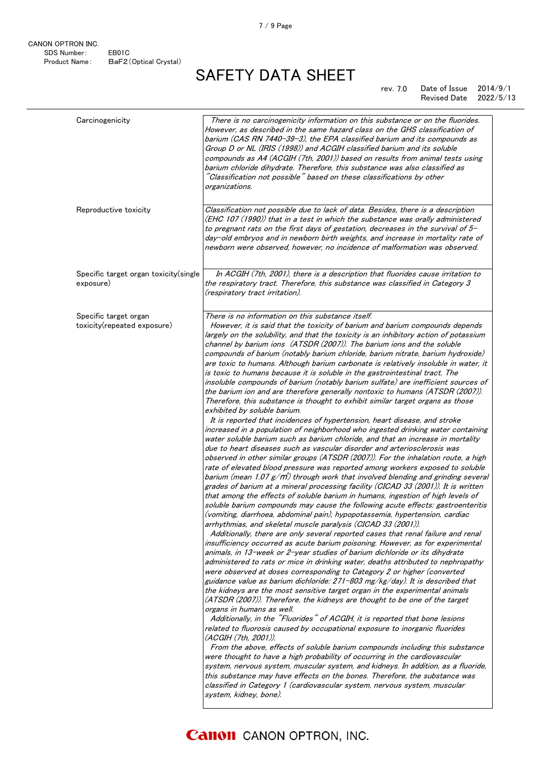#### 7.0 rev. Date of Issue 2014/9/1 Revised Date 2022/5/13

| Carcinogenicity                                      | There is no carcinogenicity information on this substance or on the fluorides.<br>However, as described in the same hazard class on the GHS classification of<br>barium (CAS RN 7440-39-3), the EPA classified barium and its compounds as<br>Group D or NL (IRIS (1998)) and ACGIH classified barium and its soluble<br>compounds as A4 (ACGIH (7th, 2001)) based on results from animal tests using<br>barium chloride dihydrate. Therefore, this substance was also classified as<br>"Classification not possible" based on these classifications by other<br><i>organizations.</i>                                                                                                                                                                                                                                                                                                                                                                                                                                                                                                                                                                                                                                                                                                                                                                                                                                                                                                                                                                                                                                                                                                                                                                                                                                                                                                                                                                                                                                                                                                                                                                                                                                                                                                                                                                                                                                                                                                                                                                                                                                                                                                                                                                                                                                                                                                                                                                                                                                                                                                                                                                                                      |
|------------------------------------------------------|---------------------------------------------------------------------------------------------------------------------------------------------------------------------------------------------------------------------------------------------------------------------------------------------------------------------------------------------------------------------------------------------------------------------------------------------------------------------------------------------------------------------------------------------------------------------------------------------------------------------------------------------------------------------------------------------------------------------------------------------------------------------------------------------------------------------------------------------------------------------------------------------------------------------------------------------------------------------------------------------------------------------------------------------------------------------------------------------------------------------------------------------------------------------------------------------------------------------------------------------------------------------------------------------------------------------------------------------------------------------------------------------------------------------------------------------------------------------------------------------------------------------------------------------------------------------------------------------------------------------------------------------------------------------------------------------------------------------------------------------------------------------------------------------------------------------------------------------------------------------------------------------------------------------------------------------------------------------------------------------------------------------------------------------------------------------------------------------------------------------------------------------------------------------------------------------------------------------------------------------------------------------------------------------------------------------------------------------------------------------------------------------------------------------------------------------------------------------------------------------------------------------------------------------------------------------------------------------------------------------------------------------------------------------------------------------------------------------------------------------------------------------------------------------------------------------------------------------------------------------------------------------------------------------------------------------------------------------------------------------------------------------------------------------------------------------------------------------------------------------------------------------------------------------------------------------|
| Reproductive toxicity                                | Classification not possible due to lack of data. Besides, there is a description<br>(EHC 107 (1990)) that in a test in which the substance was orally administered<br>to pregnant rats on the first days of gestation, decreases in the survival of 5-<br>day-old embryos and in newborn birth weights, and increase in mortality rate of<br>newborn were observed, however, no incidence of malformation was observed.                                                                                                                                                                                                                                                                                                                                                                                                                                                                                                                                                                                                                                                                                                                                                                                                                                                                                                                                                                                                                                                                                                                                                                                                                                                                                                                                                                                                                                                                                                                                                                                                                                                                                                                                                                                                                                                                                                                                                                                                                                                                                                                                                                                                                                                                                                                                                                                                                                                                                                                                                                                                                                                                                                                                                                     |
| Specific target organ toxicity(single<br>exposure)   | In ACGIH (7th, 2001), there is a description that fluorides cause irritation to<br>the respiratory tract. Therefore, this substance was classified in Category 3<br>(respiratory tract irritation).                                                                                                                                                                                                                                                                                                                                                                                                                                                                                                                                                                                                                                                                                                                                                                                                                                                                                                                                                                                                                                                                                                                                                                                                                                                                                                                                                                                                                                                                                                                                                                                                                                                                                                                                                                                                                                                                                                                                                                                                                                                                                                                                                                                                                                                                                                                                                                                                                                                                                                                                                                                                                                                                                                                                                                                                                                                                                                                                                                                         |
| Specific target organ<br>toxicity(repeated exposure) | There is no information on this substance itself.<br>However, it is said that the toxicity of barium and barium compounds depends<br>largely on the solubility, and that the toxicity is an inhibitory action of potassium<br>channel by barium ions (ATSDR (2007)). The barium ions and the soluble<br>compounds of barium (notably barium chloride, barium nitrate, barium hydroxide)<br>are toxic to humans. Although barium carbonate is relatively insoluble in water, it<br>is toxic to humans because it is soluble in the gastrointestinal tract. The<br>insoluble compounds of barium (notably barium sulfate) are inefficient sources of<br>the barium ion and are therefore generally nontoxic to humans (ATSDR (2007)).<br>Therefore, this substance is thought to exhibit similar target organs as those<br>exhibited by soluble barium.<br>It is reported that incidences of hypertension, heart disease, and stroke<br>increased in a population of neighborhood who ingested drinking water containing<br>water soluble barium such as barium chloride, and that an increase in mortality<br>due to heart diseases such as vascular disorder and arteriosclerosis was<br>observed in other similar groups (ATSDR (2007)). For the inhalation route, a high<br>rate of elevated blood pressure was reported among workers exposed to soluble<br>barium (mean 1.07 $g/m$ ) through work that involved blending and grinding several<br>grades of barium at a mineral processing facility (CICAD 33 (2001)). It is written<br>that among the effects of soluble barium in humans, ingestion of high levels of<br>soluble barium compounds may cause the following acute effects: gastroenteritis<br>(vomiting, diarrhoea, abdominal pain), hypopotassemia, hypertension, cardiac<br>arrhythmias, and skeletal muscle paralysis (CICAD 33 (2001)).<br>Additionally, there are only several reported cases that renal failure and renal<br>insufficiency occurred as acute barium poisoning. However, as for experimental<br>animals, in 13-week or 2-year studies of barium dichloride or its dihydrate<br>administered to rats or mice in drinking water, deaths attributed to nephropathy<br>were observed at doses corresponding to Category 2 or higher (converted<br>guidance value as barium dichloride: 271-803 mg/kg/day). It is described that<br>the kidneys are the most sensitive target organ in the experimental animals<br>(ATSDR (2007)). Therefore, the kidneys are thought to be one of the target<br>organs in humans as well.<br>Additionally, in the "Fluorides" of ACGIH, it is reported that bone lesions<br>related to fluorosis caused by occupational exposure to inorganic fluorides<br>(ACGIH (7th, 2001)).<br>From the above, effects of soluble barium compounds including this substance<br>were thought to have a high probability of occurring in the cardiovascular<br>system, nervous system, muscular system, and kidneys. In addition, as a fluoride,<br>this substance may have effects on the bones. Therefore, the substance was<br>classified in Category 1 (cardiovascular system, nervous system, muscular<br>system, kidney, bone). |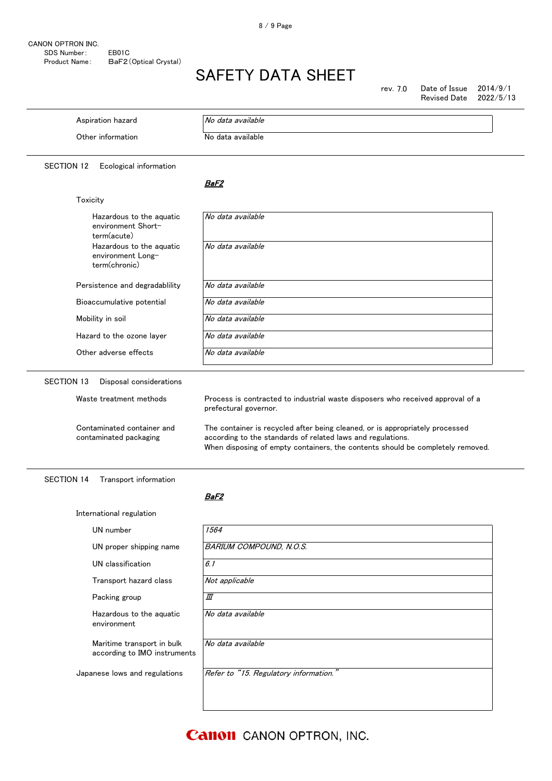rev. 7.0 Date of Issue  $2014/9/1$ Revised Date 2022/5/13

| Aspiration hazard                                                               | No data available                                                                                                                                                                                                                                                                                                                        |
|---------------------------------------------------------------------------------|------------------------------------------------------------------------------------------------------------------------------------------------------------------------------------------------------------------------------------------------------------------------------------------------------------------------------------------|
| Other information                                                               | No data available                                                                                                                                                                                                                                                                                                                        |
| <b>SECTION 12</b><br>Ecological information                                     |                                                                                                                                                                                                                                                                                                                                          |
|                                                                                 | BaF2                                                                                                                                                                                                                                                                                                                                     |
| Toxicity                                                                        |                                                                                                                                                                                                                                                                                                                                          |
| Hazardous to the aquatic<br>environment Short-<br>term(acute)                   | No data available                                                                                                                                                                                                                                                                                                                        |
| Hazardous to the aquatic<br>environment Long-<br>term(chronic)                  | No data available                                                                                                                                                                                                                                                                                                                        |
| Persistence and degradablility                                                  | No data available                                                                                                                                                                                                                                                                                                                        |
| Bioaccumulative potential                                                       | No data available                                                                                                                                                                                                                                                                                                                        |
| Mobility in soil                                                                | No data available                                                                                                                                                                                                                                                                                                                        |
| Hazard to the ozone layer                                                       | No data available                                                                                                                                                                                                                                                                                                                        |
| Other adverse effects                                                           | No data available                                                                                                                                                                                                                                                                                                                        |
| Waste treatment methods<br>Contaminated container and<br>contaminated packaging | Process is contracted to industrial waste disposers who received approval of a<br>prefectural governor.<br>The container is recycled after being cleaned, or is appropriately processed<br>according to the standards of related laws and regulations.<br>When disposing of empty containers, the contents should be completely removed. |
| <b>SECTION 14</b><br>Transport information                                      |                                                                                                                                                                                                                                                                                                                                          |
|                                                                                 | BaF2                                                                                                                                                                                                                                                                                                                                     |
| International regulation                                                        |                                                                                                                                                                                                                                                                                                                                          |
| UN number                                                                       | 1564                                                                                                                                                                                                                                                                                                                                     |
| UN proper shipping name                                                         | <b>BARIUM COMPOUND, N.O.S.</b>                                                                                                                                                                                                                                                                                                           |
| UN classification                                                               | 6.1                                                                                                                                                                                                                                                                                                                                      |
| Transport hazard class                                                          | Not applicable                                                                                                                                                                                                                                                                                                                           |
| Packing group                                                                   | Ш                                                                                                                                                                                                                                                                                                                                        |
| Hazardous to the aquatic<br>environment                                         | No data available                                                                                                                                                                                                                                                                                                                        |
| Maritime transport in bulk<br>according to IMO instruments                      | No data available                                                                                                                                                                                                                                                                                                                        |
| Japanese lows and regulations                                                   | Refer to "15. Regulatory information."                                                                                                                                                                                                                                                                                                   |

**Canon** CANON OPTRON, INC.